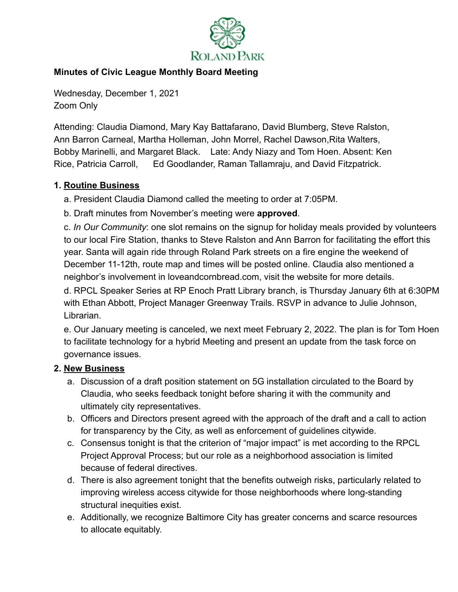

## **Minutes of Civic League Monthly Board Meeting**

Wednesday, December 1, 2021 Zoom Only

Attending: Claudia Diamond, Mary Kay Battafarano, David Blumberg, Steve Ralston, Ann Barron Carneal, Martha Holleman, John Morrel, Rachel Dawson,Rita Walters, Bobby Marinelli, and Margaret Black. Late: Andy Niazy and Tom Hoen. Absent: Ken Rice, Patricia Carroll, Ed Goodlander, Raman Tallamraju, and David Fitzpatrick.

## **1. Routine Business**

a. President Claudia Diamond called the meeting to order at 7:05PM.

b. Draft minutes from November's meeting were **approved**.

c. *In Our Community*: one slot remains on the signup for holiday meals provided by volunteers to our local Fire Station, thanks to Steve Ralston and Ann Barron for facilitating the effort this year. Santa will again ride through Roland Park streets on a fire engine the weekend of December 11-12th, route map and times will be posted online. Claudia also mentioned a neighbor's involvement in loveandcornbread.com, visit the website for more details.

d. RPCL Speaker Series at RP Enoch Pratt Library branch, is Thursday January 6th at 6:30PM with Ethan Abbott, Project Manager Greenway Trails. RSVP in advance to Julie Johnson, Librarian.

e. Our January meeting is canceled, we next meet February 2, 2022. The plan is for Tom Hoen to facilitate technology for a hybrid Meeting and present an update from the task force on governance issues.

## **2. New Business**

- a. Discussion of a draft position statement on 5G installation circulated to the Board by Claudia, who seeks feedback tonight before sharing it with the community and ultimately city representatives.
- b. Officers and Directors present agreed with the approach of the draft and a call to action for transparency by the City, as well as enforcement of guidelines citywide.
- c. Consensus tonight is that the criterion of "major impact" is met according to the RPCL Project Approval Process; but our role as a neighborhood association is limited because of federal directives.
- d. There is also agreement tonight that the benefits outweigh risks, particularly related to improving wireless access citywide for those neighborhoods where long-standing structural inequities exist.
- e. Additionally, we recognize Baltimore City has greater concerns and scarce resources to allocate equitably.